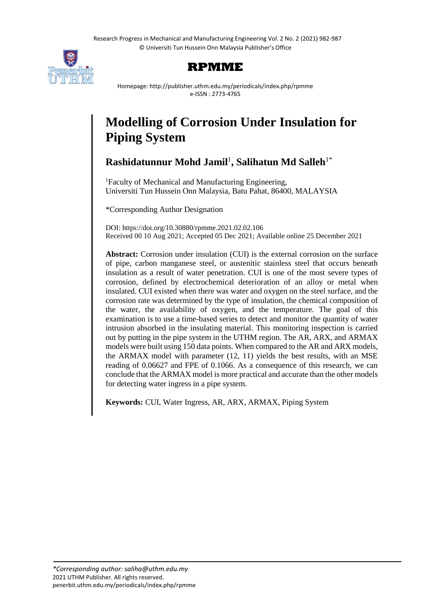Research Progress in Mechanical and Manufacturing Engineering Vol. 2 No. 2 (2021) 982-987 © Universiti Tun Hussein Onn Malaysia Publisher's Office





Homepage: http://publisher.uthm.edu.my/periodicals/index.php/rpmme e-ISSN : 2773-4765

# **Modelling of Corrosion Under Insulation for Piping System**

**Rashidatunnur Mohd Jamil**<sup>1</sup> **, Salihatun Md Salleh**1\*

<sup>1</sup>Faculty of Mechanical and Manufacturing Engineering, Universiti Tun Hussein Onn Malaysia, Batu Pahat, 86400, MALAYSIA

\*Corresponding Author Designation

DOI: https://doi.org/10.30880/rpmme.2021.02.02.106 Received 00 10 Aug 2021; Accepted 05 Dec 2021; Available online 25 December 2021

**Abstract:** Corrosion under insulation (CUI) is the external corrosion on the surface of pipe, carbon manganese steel, or austenitic stainless steel that occurs beneath insulation as a result of water penetration. CUI is one of the most severe types of corrosion, defined by electrochemical deterioration of an alloy or metal when insulated. CUI existed when there was water and oxygen on the steel surface, and the corrosion rate was determined by the type of insulation, the chemical composition of the water, the availability of oxygen, and the temperature. The goal of this examination is to use a time-based series to detect and monitor the quantity of water intrusion absorbed in the insulating material. This monitoring inspection is carried out by putting in the pipe system in the UTHM region. The AR, ARX, and ARMAX models were built using 150 data points. When compared to the AR and ARX models, the ARMAX model with parameter (12, 11) yields the best results, with an MSE reading of 0.06627 and FPE of 0.1066. As a consequence of this research, we can conclude that the ARMAX model is more practical and accurate than the other models for detecting water ingress in a pipe system.

**Keywords:** CUI, Water Ingress, AR, ARX, ARMAX, Piping System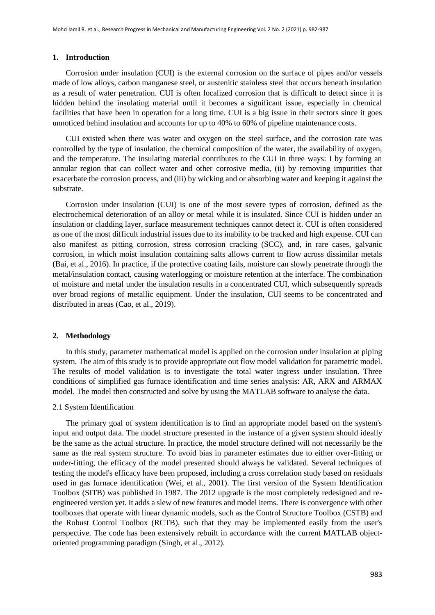#### **1. Introduction**

Corrosion under insulation (CUI) is the external corrosion on the surface of pipes and/or vessels made of low alloys, carbon manganese steel, or austenitic stainless steel that occurs beneath insulation as a result of water penetration. CUI is often localized corrosion that is difficult to detect since it is hidden behind the insulating material until it becomes a significant issue, especially in chemical facilities that have been in operation for a long time. CUI is a big issue in their sectors since it goes unnoticed behind insulation and accounts for up to 40% to 60% of pipeline maintenance costs.

CUI existed when there was water and oxygen on the steel surface, and the corrosion rate was controlled by the type of insulation, the chemical composition of the water, the availability of oxygen, and the temperature. The insulating material contributes to the CUI in three ways: I by forming an annular region that can collect water and other corrosive media, (ii) by removing impurities that exacerbate the corrosion process, and (iii) by wicking and or absorbing water and keeping it against the substrate.

Corrosion under insulation (CUI) is one of the most severe types of corrosion, defined as the electrochemical deterioration of an alloy or metal while it is insulated. Since CUI is hidden under an insulation or cladding layer, surface measurement techniques cannot detect it. CUI is often considered as one of the most difficult industrial issues due to its inability to be tracked and high expense. CUI can also manifest as pitting corrosion, stress corrosion cracking (SCC), and, in rare cases, galvanic corrosion, in which moist insulation containing salts allows current to flow across dissimilar metals (Bai, et al., 2016). In practice, if the protective coating fails, moisture can slowly penetrate through the metal/insulation contact, causing waterlogging or moisture retention at the interface. The combination of moisture and metal under the insulation results in a concentrated CUI, which subsequently spreads over broad regions of metallic equipment. Under the insulation, CUI seems to be concentrated and distributed in areas (Cao, et al., 2019).

#### **2. Methodology**

In this study, parameter mathematical model is applied on the corrosion under insulation at piping system. The aim of this study is to provide appropriate out flow model validation for parametric model. The results of model validation is to investigate the total water ingress under insulation. Three conditions of simplified gas furnace identification and time series analysis: AR, ARX and ARMAX model. The model then constructed and solve by using the MATLAB software to analyse the data.

#### 2.1 System Identification

The primary goal of system identification is to find an appropriate model based on the system's input and output data. The model structure presented in the instance of a given system should ideally be the same as the actual structure. In practice, the model structure defined will not necessarily be the same as the real system structure. To avoid bias in parameter estimates due to either over-fitting or under-fitting, the efficacy of the model presented should always be validated. Several techniques of testing the model's efficacy have been proposed, including a cross correlation study based on residuals used in gas furnace identification (Wei, et al., 2001). The first version of the System Identification Toolbox (SITB) was published in 1987. The 2012 upgrade is the most completely redesigned and reengineered version yet. It adds a slew of new features and model items. There is convergence with other toolboxes that operate with linear dynamic models, such as the Control Structure Toolbox (CSTB) and the Robust Control Toolbox (RCTB), such that they may be implemented easily from the user's perspective. The code has been extensively rebuilt in accordance with the current MATLAB objectoriented programming paradigm (Singh, et al., 2012).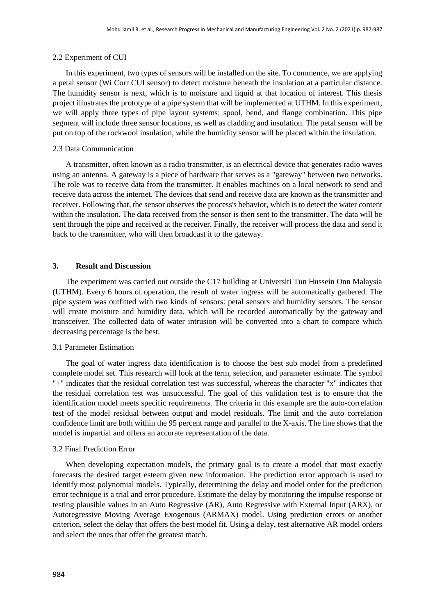# 2.2 Experiment of CUI

In this experiment, two types of sensors will be installed on the site. To commence, we are applying a petal sensor (Wi Corr CUI sensor) to detect moisture beneath the insulation at a particular distance. The humidity sensor is next, which is to moisture and liquid at that location of interest. This thesis project illustrates the prototype of a pipe system that will be implemented at UTHM. In this experiment, we will apply three types of pipe layout systems: spool, bend, and flange combination. This pipe segment will include three sensor locations, as well as cladding and insulation. The petal sensor will be put on top of the rockwool insulation, while the humidity sensor will be placed within the insulation.

## 2.3 Data Communication

A transmitter, often known as a radio transmitter, is an electrical device that generates radio waves using an antenna. A gateway is a piece of hardware that serves as a "gateway" between two networks. The role was to receive data from the transmitter. It enables machines on a local network to send and receive data across the internet. The devices that send and receive data are known as the transmitter and receiver. Following that, the sensor observes the process's behavior, which is to detect the water content within the insulation. The data received from the sensor is then sent to the transmitter. The data will be sent through the pipe and received at the receiver. Finally, the receiver will process the data and send it back to the transmitter, who will then broadcast it to the gateway.

## **3. Result and Discussion**

The experiment was carried out outside the C17 building at Universiti Tun Hussein Onn Malaysia (UTHM). Every 6 hours of operation, the result of water ingress will be automatically gathered. The pipe system was outfitted with two kinds of sensors: petal sensors and humidity sensors. The sensor will create moisture and humidity data, which will be recorded automatically by the gateway and transceiver. The collected data of water intrusion will be converted into a chart to compare which decreasing percentage is the best.

# 3.1 Parameter Estimation

The goal of water ingress data identification is to choose the best sub model from a predefined complete model set. This research will look at the term, selection, and parameter estimate. The symbol "+" indicates that the residual correlation test was successful, whereas the character "x" indicates that the residual correlation test was unsuccessful. The goal of this validation test is to ensure that the identification model meets specific requirements. The criteria in this example are the auto-correlation test of the model residual between output and model residuals. The limit and the auto correlation confidence limit are both within the 95 percent range and parallel to the X-axis. The line shows that the model is impartial and offers an accurate representation of the data.

#### 3.2 Final Prediction Error

When developing expectation models, the primary goal is to create a model that most exactly forecasts the desired target esteem given new information. The prediction error approach is used to identify most polynomial models. Typically, determining the delay and model order for the prediction error technique is a trial and error procedure. Estimate the delay by monitoring the impulse response or testing plausible values in an Auto Regressive (AR), Auto Regressive with External Input (ARX), or Autoregressive Moving Average Exogenous (ARMAX) model. Using prediction errors or another criterion, select the delay that offers the best model fit. Using a delay, test alternative AR model orders and select the ones that offer the greatest match.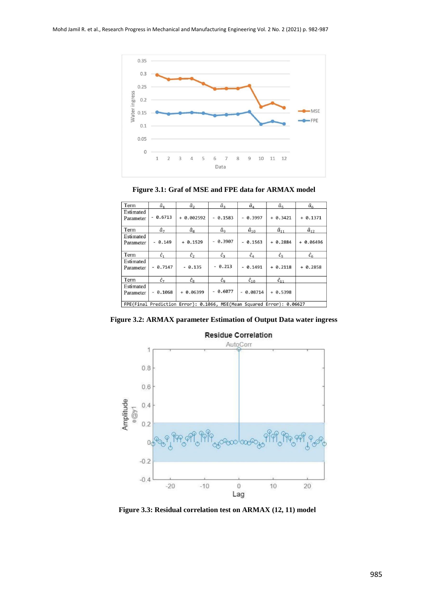

**Figure 3.1: Graf of MSE and FPE data for ARMAX model**

| Term                   | $\hat{a}_1$              | $\hat{a}_2$                                                           | $\hat{a}_3$   | $\hat{a}_4$                         | $\hat{a}_5$    | $\hat{a}_6$    |
|------------------------|--------------------------|-----------------------------------------------------------------------|---------------|-------------------------------------|----------------|----------------|
| Estimated<br>Parameter | 0.6713<br>$\frac{1}{2}$  | $+ 0.002592$                                                          | $-0.1583$     | $-0.3997$                           | $+ 0.3421$     | $+ 0.1371$     |
| Term                   | $\hat{a}_7$              | $\hat{a}_8$                                                           | $\hat{a}_{9}$ | $\hat{a}_{10}$                      | $\hat{a}_{11}$ | $\hat{a}_{12}$ |
| Estimated<br>Parameter | 0.149                    | $+ 0.1529$                                                            | 0.3907        | $-0.1563$                           | $+ 0.2884$     | $+ 0.06496$    |
| Term                   | $\hat{c}_1$              | $\hat{c}_2$                                                           | $\hat{c}_3$   | $\hat{c}_4$                         | $\hat{c}_5$    | $\hat{c}_6$    |
| Estimated<br>Parameter | 0.7147                   | $-0.135$                                                              | $- 0.213$     | $-0.1491$                           | $+ 0.2118$     | $+ 0.2858$     |
| Term                   | $\hat{c}_7$              | $\hat{c}_8$                                                           | $\hat{c}_9$   | $\hat{c}_{10}$                      | $\hat{c}_{11}$ |                |
| Estimated<br>Parameter | 0.1068<br>$\overline{a}$ | 0.06399<br>$+$                                                        | 0.6077        | 0.08714<br>$\overline{\phantom{a}}$ | $+ 0.5398$     |                |
|                        |                          | FPE(Final Prediction Error): 0.1066, MSE(Mean Squared Error): 0.06627 |               |                                     |                |                |

**Figure 3.2: ARMAX parameter Estimation of Output Data water ingress**



**Residue Correlation** 

**Figure 3.3: Residual correlation test on ARMAX (12, 11) model**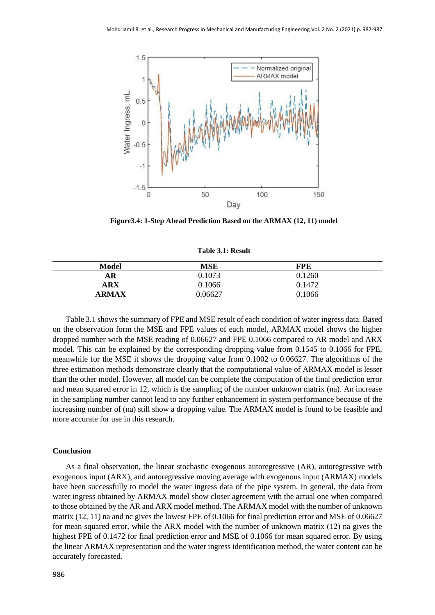

**Figure3.4: 1-Step Ahead Prediction Based on the ARMAX (12, 11) model**

**Table 3.1: Result**

| Model        | <b>MSE</b> | FPE    |  |
|--------------|------------|--------|--|
| AR           | 0.1073     | 0.1260 |  |
| ARX          | 0.1066     | 0.1472 |  |
| <b>ARMAX</b> | 0.06627    | 0.1066 |  |

Table 3.1 shows the summary of FPE and MSE result of each condition of water ingress data. Based on the observation form the MSE and FPE values of each model, ARMAX model shows the higher dropped number with the MSE reading of 0.06627 and FPE 0.1066 compared to AR model and ARX model. This can be explained by the corresponding dropping value from 0.1545 to 0.1066 for FPE, meanwhile for the MSE it shows the dropping value from 0.1002 to 0.06627. The algorithms of the three estimation methods demonstrate clearly that the computational value of ARMAX model is lesser than the other model. However, all model can be complete the computation of the final prediction error and mean squared error in 12, which is the sampling of the number unknown matrix (na). An increase in the sampling number cannot lead to any further enhancement in system performance because of the increasing number of (na) still show a dropping value. The ARMAX model is found to be feasible and more accurate for use in this research.

#### **Conclusion**

As a final observation, the linear stochastic exogenous autoregressive (AR), autoregressive with exogenous input (ARX), and autoregressive moving average with exogenous input (ARMAX) models have been successfully to model the water ingress data of the pipe system. In general, the data from water ingress obtained by ARMAX model show closer agreement with the actual one when compared to those obtained by the AR and ARX model method. The ARMAX model with the number of unknown matrix (12, 11) na and nc gives the lowest FPE of 0.1066 for final prediction error and MSE of 0.06627 for mean squared error, while the ARX model with the number of unknown matrix (12) na gives the highest FPE of 0.1472 for final prediction error and MSE of 0.1066 for mean squared error. By using the linear ARMAX representation and the water ingress identification method, the water content can be accurately forecasted.